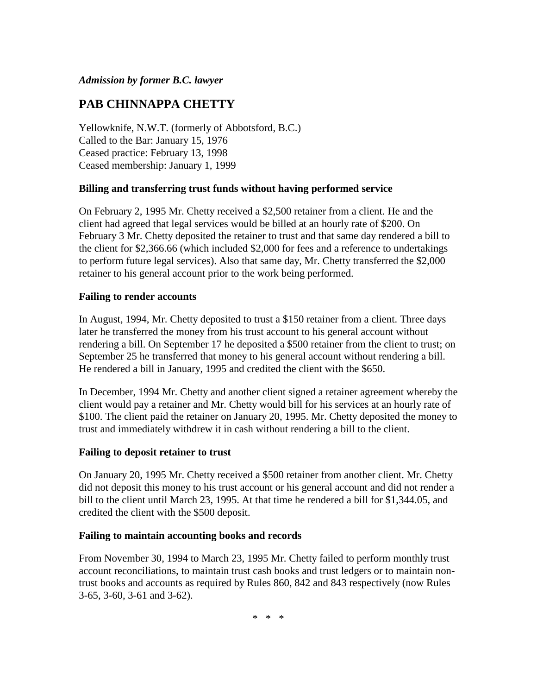## *Admission by former B.C. lawyer*

# **PAB CHINNAPPA CHETTY**

Yellowknife, N.W.T. (formerly of Abbotsford, B.C.) Called to the Bar: January 15, 1976 Ceased practice: February 13, 1998 Ceased membership: January 1, 1999

## **Billing and transferring trust funds without having performed service**

On February 2, 1995 Mr. Chetty received a \$2,500 retainer from a client. He and the client had agreed that legal services would be billed at an hourly rate of \$200. On February 3 Mr. Chetty deposited the retainer to trust and that same day rendered a bill to the client for \$2,366.66 (which included \$2,000 for fees and a reference to undertakings to perform future legal services). Also that same day, Mr. Chetty transferred the \$2,000 retainer to his general account prior to the work being performed.

## **Failing to render accounts**

In August, 1994, Mr. Chetty deposited to trust a \$150 retainer from a client. Three days later he transferred the money from his trust account to his general account without rendering a bill. On September 17 he deposited a \$500 retainer from the client to trust; on September 25 he transferred that money to his general account without rendering a bill. He rendered a bill in January, 1995 and credited the client with the \$650.

In December, 1994 Mr. Chetty and another client signed a retainer agreement whereby the client would pay a retainer and Mr. Chetty would bill for his services at an hourly rate of \$100. The client paid the retainer on January 20, 1995. Mr. Chetty deposited the money to trust and immediately withdrew it in cash without rendering a bill to the client.

#### **Failing to deposit retainer to trust**

On January 20, 1995 Mr. Chetty received a \$500 retainer from another client. Mr. Chetty did not deposit this money to his trust account or his general account and did not render a bill to the client until March 23, 1995. At that time he rendered a bill for \$1,344.05, and credited the client with the \$500 deposit.

#### **Failing to maintain accounting books and records**

From November 30, 1994 to March 23, 1995 Mr. Chetty failed to perform monthly trust account reconciliations, to maintain trust cash books and trust ledgers or to maintain nontrust books and accounts as required by Rules 860, 842 and 843 respectively (now Rules 3-65, 3-60, 3-61 and 3-62).

\* \* \*